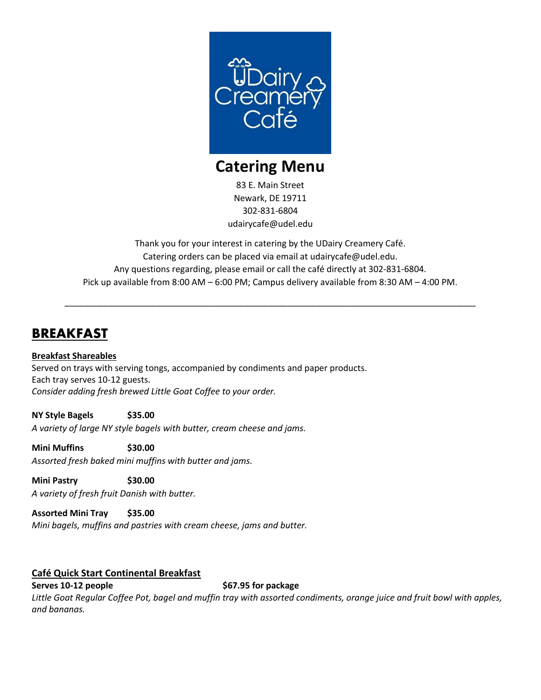

# **Catering Menu**

83 E. Main Street Newark, DE 19711 302-831-6804 udairycafe@udel.edu

Thank you for your interest in catering by the UDairy Creamery Café. Catering orders can be placed via email at udairycafe@udel.edu. Any questions regarding, please email or call the café directly at 302-831-6804. Pick up available from 8:00 AM – 6:00 PM; Campus delivery available from 8:30 AM – 4:00 PM.

\_\_\_\_\_\_\_\_\_\_\_\_\_\_\_\_\_\_\_\_\_\_\_\_\_\_\_\_\_\_\_\_\_\_\_\_\_\_\_\_\_\_\_\_\_\_\_\_\_\_\_\_\_\_\_\_\_\_\_\_\_\_\_\_\_\_\_\_\_\_\_\_\_\_\_\_\_\_\_\_\_\_\_\_\_

# **BREAKFAST**

### **Breakfast Shareables**

Served on trays with serving tongs, accompanied by condiments and paper products. Each tray serves 10-12 guests. *Consider adding fresh brewed Little Goat Coffee to your order.*

### **NY Style Bagels \$35.00**

*A variety of large NY style bagels with butter, cream cheese and jams.*

#### **Mini Muffins \$30.00**

*Assorted fresh baked mini muffins with butter and jams.*

### **Mini Pastry \$30.00** *A variety of fresh fruit Danish with butter.*

**Assorted Mini Tray \$35.00**

*Mini bagels, muffins and pastries with cream cheese, jams and butter.*

### **Café Quick Start Continental Breakfast**

**Serves 10-12 people \$67.95** for package *Little Goat Regular Coffee Pot, bagel and muffin tray with assorted condiments, orange juice and fruit bowl with apples, and bananas.*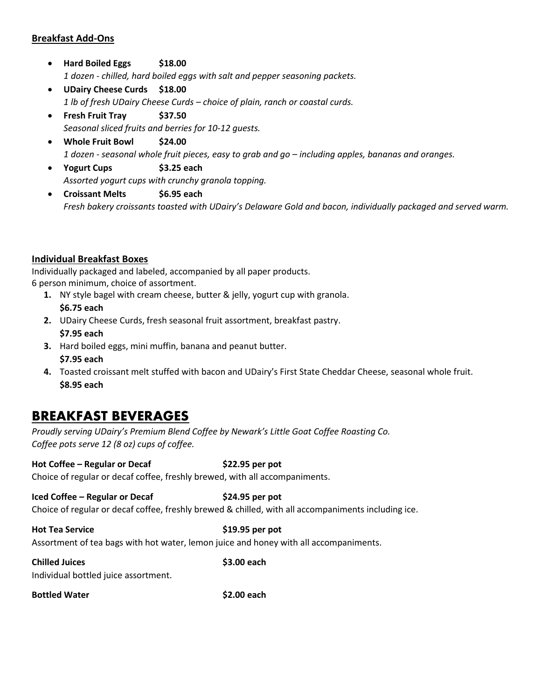### **Breakfast Add-Ons**

- **Hard Boiled Eggs \$18.00** *1 dozen - chilled, hard boiled eggs with salt and pepper seasoning packets.*
- **UDairy Cheese Curds \$18.00** *1 lb of fresh UDairy Cheese Curds – choice of plain, ranch or coastal curds.*
- **Fresh Fruit Tray \$37.50** *Seasonal sliced fruits and berries for 10-12 guests.*
- **Whole Fruit Bowl \$24.00** *1 dozen - seasonal whole fruit pieces, easy to grab and go – including apples, bananas and oranges.*
- **Yogurt Cups \$3.25 each** *Assorted yogurt cups with crunchy granola topping.*
- **Croissant Melts \$6.95 each** *Fresh bakery croissants toasted with UDairy's Delaware Gold and bacon, individually packaged and served warm.*

### **Individual Breakfast Boxes**

Individually packaged and labeled, accompanied by all paper products. 6 person minimum, choice of assortment.

- **1.** NY style bagel with cream cheese, butter & jelly, yogurt cup with granola. **\$6.75 each**
- **2.** UDairy Cheese Curds, fresh seasonal fruit assortment, breakfast pastry. **\$7.95 each**
- **3.** Hard boiled eggs, mini muffin, banana and peanut butter.
- **\$7.95 each**
- **4.** Toasted croissant melt stuffed with bacon and UDairy's First State Cheddar Cheese, seasonal whole fruit. **\$8.95 each**

### **BREAKFAST BEVERAGES**

*Proudly serving UDairy's Premium Blend Coffee by Newark's Little Goat Coffee Roasting Co. Coffee pots serve 12 (8 oz) cups of coffee.*

#### **Hot Coffee – Regular or Decaf \$22.95 per pot**

Choice of regular or decaf coffee, freshly brewed, with all accompaniments.

### **Iced Coffee – Regular or Decaf \$24.95 per pot**

Choice of regular or decaf coffee, freshly brewed & chilled, with all accompaniments including ice.

**Hot Tea Service \$19.95 per pot** Assortment of tea bags with hot water, lemon juice and honey with all accompaniments.

| <b>Chilled Juices</b><br>Individual bottled juice assortment. | \$3.00 each |
|---------------------------------------------------------------|-------------|
|                                                               |             |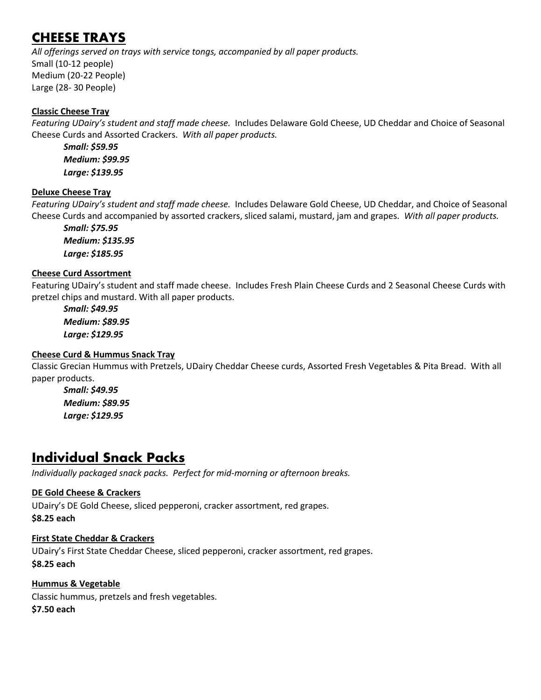# **CHEESE TRAYS**

*All offerings served on trays with service tongs, accompanied by all paper products.* Small (10-12 people) Medium (20-22 People) Large (28- 30 People)

### **Classic Cheese Tray**

*Featuring UDairy's student and staff made cheese.* Includes Delaware Gold Cheese, UD Cheddar and Choice of Seasonal Cheese Curds and Assorted Crackers.*With all paper products.*

*Small: \$59.95 Medium: \$99.95 Large: \$139.95*

### **Deluxe Cheese Tray**

*Featuring UDairy's student and staff made cheese.* Includes Delaware Gold Cheese, UD Cheddar, and Choice of Seasonal Cheese Curds and accompanied by assorted crackers, sliced salami, mustard, jam and grapes. *With all paper products.*

*Small: \$75.95 Medium: \$135.95 Large: \$185.95*

### **Cheese Curd Assortment**

Featuring UDairy's student and staff made cheese. Includes Fresh Plain Cheese Curds and 2 Seasonal Cheese Curds with pretzel chips and mustard. With all paper products.

*Small: \$49.95 Medium: \$89.95 Large: \$129.95*

### **Cheese Curd & Hummus Snack Tray**

Classic Grecian Hummus with Pretzels, UDairy Cheddar Cheese curds, Assorted Fresh Vegetables & Pita Bread. With all paper products.

*Small: \$49.95 Medium: \$89.95 Large: \$129.95*

# **Individual Snack Packs**

*Individually packaged snack packs. Perfect for mid-morning or afternoon breaks.*

### **DE Gold Cheese & Crackers**

UDairy's DE Gold Cheese, sliced pepperoni, cracker assortment, red grapes. **\$8.25 each**

### **First State Cheddar & Crackers**

UDairy's First State Cheddar Cheese, sliced pepperoni, cracker assortment, red grapes. **\$8.25 each**

**Hummus & Vegetable** Classic hummus, pretzels and fresh vegetables. **\$7.50 each**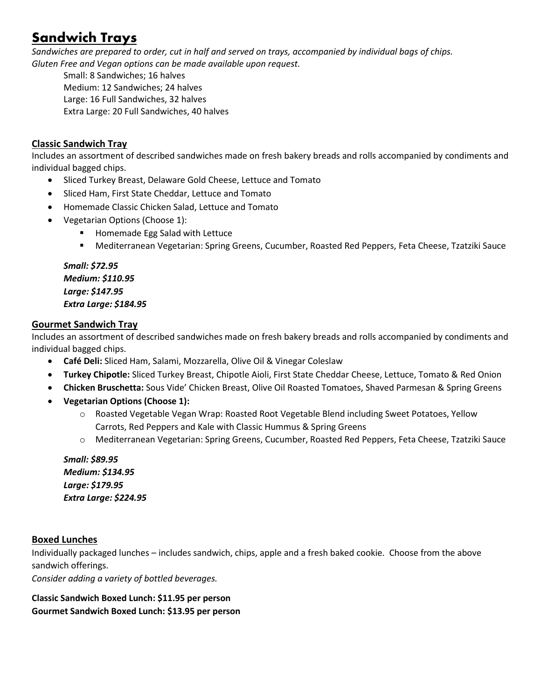# **Sandwich Trays**

*Sandwiches are prepared to order, cut in half and served on trays, accompanied by individual bags of chips. Gluten Free and Vegan options can be made available upon request.*

Small: 8 Sandwiches; 16 halves Medium: 12 Sandwiches; 24 halves Large: 16 Full Sandwiches, 32 halves Extra Large: 20 Full Sandwiches, 40 halves

### **Classic Sandwich Tray**

Includes an assortment of described sandwiches made on fresh bakery breads and rolls accompanied by condiments and individual bagged chips.

- Sliced Turkey Breast, Delaware Gold Cheese, Lettuce and Tomato
- Sliced Ham, First State Cheddar, Lettuce and Tomato
- Homemade Classic Chicken Salad, Lettuce and Tomato
- Vegetarian Options (Choose 1):
	- Homemade Egg Salad with Lettuce
	- Mediterranean Vegetarian: Spring Greens, Cucumber, Roasted Red Peppers, Feta Cheese, Tzatziki Sauce

*Small: \$72.95 Medium: \$110.95 Large: \$147.95 Extra Large: \$184.95*

### **Gourmet Sandwich Tray**

Includes an assortment of described sandwiches made on fresh bakery breads and rolls accompanied by condiments and individual bagged chips.

- **Café Deli:** Sliced Ham, Salami, Mozzarella, Olive Oil & Vinegar Coleslaw
- **Turkey Chipotle:** Sliced Turkey Breast, Chipotle Aioli, First State Cheddar Cheese, Lettuce, Tomato & Red Onion
- **Chicken Bruschetta:** Sous Vide' Chicken Breast, Olive Oil Roasted Tomatoes, Shaved Parmesan & Spring Greens
- **Vegetarian Options (Choose 1):**
	- o Roasted Vegetable Vegan Wrap: Roasted Root Vegetable Blend including Sweet Potatoes, Yellow Carrots, Red Peppers and Kale with Classic Hummus & Spring Greens
	- o Mediterranean Vegetarian: Spring Greens, Cucumber, Roasted Red Peppers, Feta Cheese, Tzatziki Sauce

*Small: \$89.95 Medium: \$134.95 Large: \$179.95 Extra Large: \$224.95*

### **Boxed Lunches**

Individually packaged lunches – includes sandwich, chips, apple and a fresh baked cookie. Choose from the above sandwich offerings.

*Consider adding a variety of bottled beverages.*

**Classic Sandwich Boxed Lunch: \$11.95 per person Gourmet Sandwich Boxed Lunch: \$13.95 per person**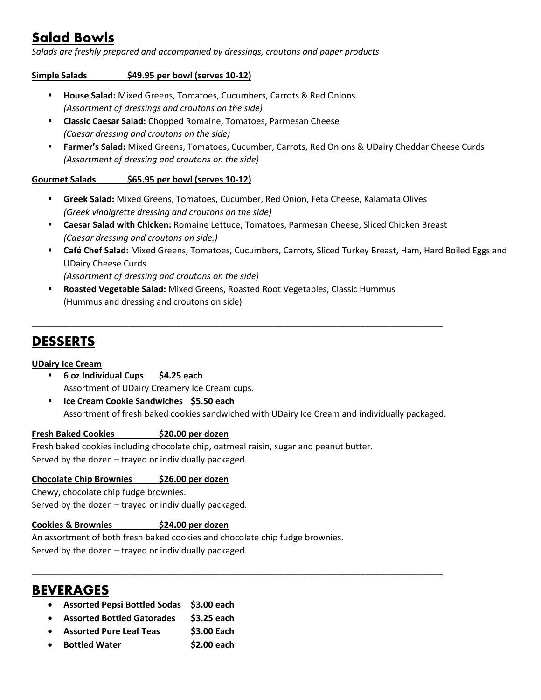# **Salad Bowls**

*Salads are freshly prepared and accompanied by dressings, croutons and paper products*

**Simple Salads \$49.95 per bowl (serves 10-12)**

- **House Salad:** Mixed Greens, Tomatoes, Cucumbers, Carrots & Red Onions *(Assortment of dressings and croutons on the side)*
- **Classic Caesar Salad:** Chopped Romaine, Tomatoes, Parmesan Cheese *(Caesar dressing and croutons on the side)*
- **Earmer's Salad:** Mixed Greens, Tomatoes, Cucumber, Carrots, Red Onions & UDairy Cheddar Cheese Curds *(Assortment of dressing and croutons on the side)*

### **Gourmet Salads \$65.95 per bowl (serves 10-12)**

- **Greek Salad:** Mixed Greens, Tomatoes, Cucumber, Red Onion, Feta Cheese, Kalamata Olives *(Greek vinaigrette dressing and croutons on the side)*
- **Caesar Salad with Chicken:** Romaine Lettuce, Tomatoes, Parmesan Cheese, Sliced Chicken Breast *(Caesar dressing and croutons on side.)*
- **Café Chef Salad:** Mixed Greens, Tomatoes, Cucumbers, Carrots, Sliced Turkey Breast, Ham, Hard Boiled Eggs and UDairy Cheese Curds *(Assortment of dressing and croutons on the side)*
- **Roasted Vegetable Salad:** Mixed Greens, Roasted Root Vegetables, Classic Hummus (Hummus and dressing and croutons on side)

\_\_\_\_\_\_\_\_\_\_\_\_\_\_\_\_\_\_\_\_\_\_\_\_\_\_\_\_\_\_\_\_\_\_\_\_\_\_\_\_\_\_\_\_\_\_\_\_\_\_\_\_\_\_\_\_\_\_\_\_\_\_\_\_\_\_\_\_\_\_\_\_\_\_\_\_\_\_\_\_\_\_\_\_\_

### **DESSERTS**

### **UDairy Ice Cream**

- **6 oz Individual Cups \$4.25 each** Assortment of UDairy Creamery Ice Cream cups.
- **Ice Cream Cookie Sandwiches \$5.50 each** Assortment of fresh baked cookies sandwiched with UDairy Ice Cream and individually packaged.

\_\_\_\_\_\_\_\_\_\_\_\_\_\_\_\_\_\_\_\_\_\_\_\_\_\_\_\_\_\_\_\_\_\_\_\_\_\_\_\_\_\_\_\_\_\_\_\_\_\_\_\_\_\_\_\_\_\_\_\_\_\_\_\_\_\_\_\_\_\_\_\_\_\_\_\_\_\_\_\_\_\_\_\_\_

### **Fresh Baked Cookies \$20.00 per dozen**

Fresh baked cookies including chocolate chip, oatmeal raisin, sugar and peanut butter. Served by the dozen – trayed or individually packaged.

### **Chocolate Chip Brownies \$26.00 per dozen**

Chewy, chocolate chip fudge brownies. Served by the dozen – trayed or individually packaged.

### **Cookies & Brownies \$24.00 per dozen**

An assortment of both fresh baked cookies and chocolate chip fudge brownies. Served by the dozen – trayed or individually packaged.

### **BEVERAGES**

- **Assorted Pepsi Bottled Sodas \$3.00 each**
- **Assorted Bottled Gatorades \$3.25 each**
- **Assorted Pure Leaf Teas \$3.00 Each**
- **Bottled Water \$2.00 each**